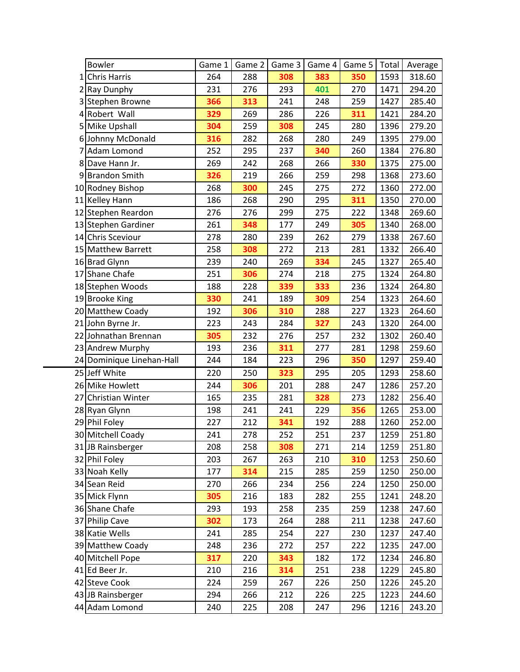|    | <b>Bowler</b>             | Game 1 | Game 2 | Game 3 | Game 4 | Game $5$ | Total | Average |
|----|---------------------------|--------|--------|--------|--------|----------|-------|---------|
| 11 | <b>Chris Harris</b>       | 264    | 288    | 308    | 383    | 350      | 1593  | 318.60  |
|    | 2 Ray Dunphy              | 231    | 276    | 293    | 401    | 270      | 1471  | 294.20  |
|    | 3 Stephen Browne          | 366    | 313    | 241    | 248    | 259      | 1427  | 285.40  |
|    | 4 Robert Wall             | 329    | 269    | 286    | 226    | 311      | 1421  | 284.20  |
|    | 5 Mike Upshall            | 304    | 259    | 308    | 245    | 280      | 1396  | 279.20  |
|    | 6 Johnny McDonald         | 316    | 282    | 268    | 280    | 249      | 1395  | 279.00  |
| 7  | Adam Lomond               | 252    | 295    | 237    | 340    | 260      | 1384  | 276.80  |
| 8  | Dave Hann Jr.             | 269    | 242    | 268    | 266    | 330      | 1375  | 275.00  |
|    | 9 Brandon Smith           | 326    | 219    | 266    | 259    | 298      | 1368  | 273.60  |
|    | 10 Rodney Bishop          | 268    | 300    | 245    | 275    | 272      | 1360  | 272.00  |
|    | 11 Kelley Hann            | 186    | 268    | 290    | 295    | 311      | 1350  | 270.00  |
|    | 12 Stephen Reardon        | 276    | 276    | 299    | 275    | 222      | 1348  | 269.60  |
|    | 13 Stephen Gardiner       | 261    | 348    | 177    | 249    | 305      | 1340  | 268.00  |
|    | 14 Chris Sceviour         | 278    | 280    | 239    | 262    | 279      | 1338  | 267.60  |
|    | 15 Matthew Barrett        | 258    | 308    | 272    | 213    | 281      | 1332  | 266.40  |
|    | 16 Brad Glynn             | 239    | 240    | 269    | 334    | 245      | 1327  | 265.40  |
|    | 17 Shane Chafe            | 251    | 306    | 274    | 218    | 275      | 1324  | 264.80  |
|    | 18 Stephen Woods          | 188    | 228    | 339    | 333    | 236      | 1324  | 264.80  |
|    | 19 Brooke King            | 330    | 241    | 189    | 309    | 254      | 1323  | 264.60  |
|    | 20 Matthew Coady          | 192    | 306    | 310    | 288    | 227      | 1323  | 264.60  |
|    | 21 John Byrne Jr.         | 223    | 243    | 284    | 327    | 243      | 1320  | 264.00  |
|    | 22 Johnathan Brennan      | 305    | 232    | 276    | 257    | 232      | 1302  | 260.40  |
|    | 23 Andrew Murphy          | 193    | 236    | 311    | 277    | 281      | 1298  | 259.60  |
|    | 24 Dominique Linehan-Hall | 244    | 184    | 223    | 296    | 350      | 1297  | 259.40  |
|    | 25 Jeff White             | 220    | 250    | 323    | 295    | 205      | 1293  | 258.60  |
|    | 26 Mike Howlett           | 244    | 306    | 201    | 288    | 247      | 1286  | 257.20  |
| 27 | Christian Winter          | 165    | 235    | 281    | 328    | 273      | 1282  | 256.40  |
|    | 28 Ryan Glynn             | 198    | 241    | 241    | 229    | 356      | 1265  | 253.00  |
|    | 29 Phil Foley             | 227    | 212    | 341    | 192    | 288      | 1260  | 252.00  |
|    | 30 Mitchell Coady         | 241    | 278    | 252    | 251    | 237      | 1259  | 251.80  |
|    | 31 JB Rainsberger         | 208    | 258    | 308    | 271    | 214      | 1259  | 251.80  |
|    | 32 Phil Foley             | 203    | 267    | 263    | 210    | 310      | 1253  | 250.60  |
|    | 33 Noah Kelly             | 177    | 314    | 215    | 285    | 259      | 1250  | 250.00  |
|    | 34 Sean Reid              | 270    | 266    | 234    | 256    | 224      | 1250  | 250.00  |
|    | 35 Mick Flynn             | 305    | 216    | 183    | 282    | 255      | 1241  | 248.20  |
|    | 36 Shane Chafe            | 293    | 193    | 258    | 235    | 259      | 1238  | 247.60  |
|    | 37 Philip Cave            | 302    | 173    | 264    | 288    | 211      | 1238  | 247.60  |
|    | 38 Katie Wells            | 241    | 285    | 254    | 227    | 230      | 1237  | 247.40  |
|    | 39 Matthew Coady          | 248    | 236    | 272    | 257    | 222      | 1235  | 247.00  |
|    | 40 Mitchell Pope          | 317    | 220    | 343    | 182    | 172      | 1234  | 246.80  |
|    | 41 Ed Beer Jr.            | 210    | 216    | 314    | 251    | 238      | 1229  | 245.80  |
|    | 42 Steve Cook             | 224    | 259    | 267    | 226    | 250      | 1226  | 245.20  |
|    | 43 JB Rainsberger         | 294    | 266    | 212    | 226    | 225      | 1223  | 244.60  |
|    | 44 Adam Lomond            | 240    | 225    | 208    | 247    | 296      | 1216  | 243.20  |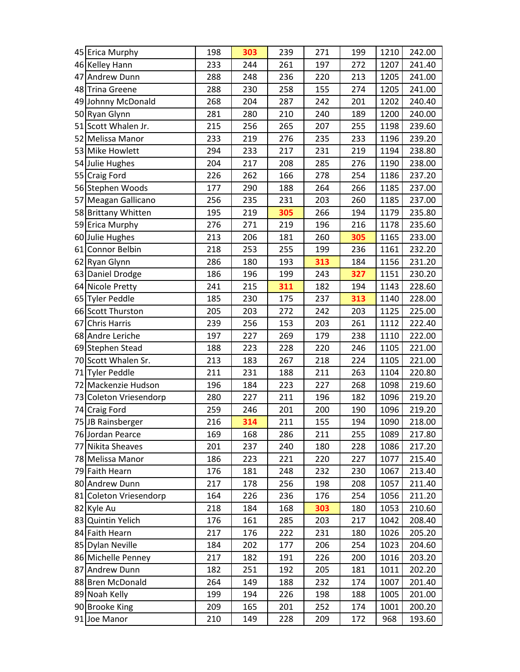| 45 Erica Murphy        | 198 | 303 | 239 | 271 | 199 | 1210 | 242.00 |
|------------------------|-----|-----|-----|-----|-----|------|--------|
| 46 Kelley Hann         | 233 | 244 | 261 | 197 | 272 | 1207 | 241.40 |
| 47 Andrew Dunn         | 288 | 248 | 236 | 220 | 213 | 1205 | 241.00 |
| 48 Trina Greene        | 288 | 230 | 258 | 155 | 274 | 1205 | 241.00 |
| 49 Johnny McDonald     | 268 | 204 | 287 | 242 | 201 | 1202 | 240.40 |
| 50 Ryan Glynn          | 281 | 280 | 210 | 240 | 189 | 1200 | 240.00 |
| 51 Scott Whalen Jr.    | 215 | 256 | 265 | 207 | 255 | 1198 | 239.60 |
| 52 Melissa Manor       | 233 | 219 | 276 | 235 | 233 | 1196 | 239.20 |
| 53 Mike Howlett        | 294 | 233 | 217 | 231 | 219 | 1194 | 238.80 |
| 54 Julie Hughes        | 204 | 217 | 208 | 285 | 276 | 1190 | 238.00 |
| 55 Craig Ford          | 226 | 262 | 166 | 278 | 254 | 1186 | 237.20 |
| 56 Stephen Woods       | 177 | 290 | 188 | 264 | 266 | 1185 | 237.00 |
| 57 Meagan Gallicano    | 256 | 235 | 231 | 203 | 260 | 1185 | 237.00 |
| 58 Brittany Whitten    | 195 | 219 | 305 | 266 | 194 | 1179 | 235.80 |
| 59 Erica Murphy        | 276 | 271 | 219 | 196 | 216 | 1178 | 235.60 |
| 60 Julie Hughes        | 213 | 206 | 181 | 260 | 305 | 1165 | 233.00 |
| 61 Connor Belbin       | 218 | 253 | 255 | 199 | 236 | 1161 | 232.20 |
| 62 Ryan Glynn          | 286 | 180 | 193 | 313 | 184 | 1156 | 231.20 |
| 63 Daniel Drodge       | 186 | 196 | 199 | 243 | 327 | 1151 | 230.20 |
| 64 Nicole Pretty       | 241 | 215 | 311 | 182 | 194 | 1143 | 228.60 |
| 65 Tyler Peddle        | 185 | 230 | 175 | 237 | 313 | 1140 | 228.00 |
| 66 Scott Thurston      | 205 | 203 | 272 | 242 | 203 | 1125 | 225.00 |
| 67 Chris Harris        | 239 | 256 | 153 | 203 | 261 | 1112 | 222.40 |
| 68 Andre Leriche       | 197 | 227 | 269 | 179 | 238 | 1110 | 222.00 |
| 69 Stephen Stead       | 188 | 223 | 228 | 220 | 246 | 1105 | 221.00 |
| 70 Scott Whalen Sr.    | 213 | 183 | 267 | 218 | 224 | 1105 | 221.00 |
| 71 Tyler Peddle        | 211 | 231 | 188 | 211 | 263 | 1104 | 220.80 |
| 72 Mackenzie Hudson    | 196 | 184 | 223 | 227 | 268 | 1098 | 219.60 |
| 73 Coleton Vriesendorp | 280 | 227 | 211 | 196 | 182 | 1096 | 219.20 |
| 74 Craig Ford          | 259 | 246 | 201 | 200 | 190 | 1096 | 219.20 |
| 75 JB Rainsberger      | 216 | 314 | 211 | 155 | 194 | 1090 | 218.00 |
| 76 Jordan Pearce       | 169 | 168 | 286 | 211 | 255 | 1089 | 217.80 |
| 77 Nikita Sheaves      | 201 | 237 | 240 | 180 | 228 | 1086 | 217.20 |
| 78 Melissa Manor       | 186 | 223 | 221 | 220 | 227 | 1077 | 215.40 |
| 79 Faith Hearn         | 176 | 181 | 248 | 232 | 230 | 1067 | 213.40 |
| 80 Andrew Dunn         | 217 | 178 | 256 | 198 | 208 | 1057 | 211.40 |
| 81 Coleton Vriesendorp | 164 | 226 | 236 | 176 | 254 | 1056 | 211.20 |
| 82 Kyle Au             | 218 | 184 | 168 | 303 | 180 | 1053 | 210.60 |
| 83 Quintin Yelich      | 176 | 161 | 285 | 203 | 217 | 1042 | 208.40 |
| 84 Faith Hearn         | 217 | 176 | 222 | 231 | 180 | 1026 | 205.20 |
| 85 Dylan Neville       | 184 | 202 | 177 | 206 | 254 | 1023 | 204.60 |
| 86 Michelle Penney     | 217 | 182 | 191 | 226 | 200 | 1016 | 203.20 |
| 87 Andrew Dunn         | 182 | 251 | 192 | 205 | 181 | 1011 | 202.20 |
| 88 Bren McDonald       | 264 | 149 | 188 | 232 | 174 | 1007 | 201.40 |
| 89 Noah Kelly          | 199 | 194 | 226 | 198 | 188 | 1005 | 201.00 |
| 90 Brooke King         | 209 | 165 | 201 | 252 | 174 | 1001 | 200.20 |
| 91 Joe Manor           | 210 | 149 | 228 | 209 | 172 | 968  | 193.60 |